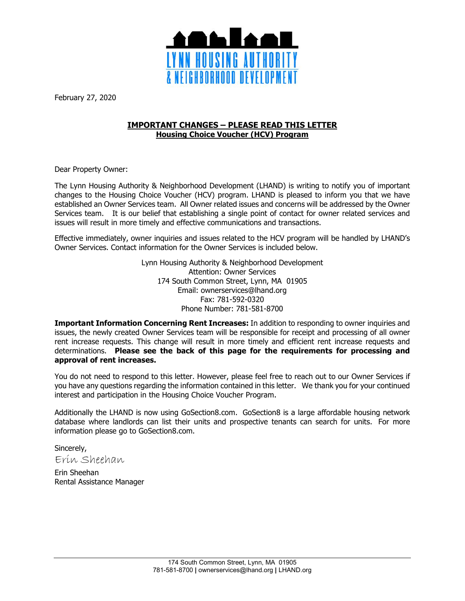

February 27, 2020

# **IMPORTANT CHANGES – PLEASE READ THIS LETTER Housing Choice Voucher (HCV) Program**

Dear Property Owner:

The Lynn Housing Authority & Neighborhood Development (LHAND) is writing to notify you of important changes to the Housing Choice Voucher (HCV) program. LHAND is pleased to inform you that we have established an Owner Services team. All Owner related issues and concerns will be addressed by the Owner Services team. It is our belief that establishing a single point of contact for owner related services and issues will result in more timely and effective communications and transactions.

Effective immediately, owner inquiries and issues related to the HCV program will be handled by LHAND's Owner Services. Contact information for the Owner Services is included below.

> Lynn Housing Authority & Neighborhood Development Attention: Owner Services 174 South Common Street, Lynn, MA 01905 Email: ownerservices@lhand.org Fax: 781-592-0320 Phone Number: 781-581-8700

**Important Information Concerning Rent Increases:** In addition to responding to owner inquiries and issues, the newly created Owner Services team will be responsible for receipt and processing of all owner rent increase requests. This change will result in more timely and efficient rent increase requests and determinations. **Please see the back of this page for the requirements for processing and approval of rent increases.**

You do not need to respond to this letter. However, please feel free to reach out to our Owner Services if you have any questions regarding the information contained in this letter. We thank you for your continued interest and participation in the Housing Choice Voucher Program.

Additionally the LHAND is now using GoSection8.com. GoSection8 is a large affordable housing network database where landlords can list their units and prospective tenants can search for units. For more information please go to GoSection8.com.

Sincerely, Erin Sheehan

Erin Sheehan Rental Assistance Manager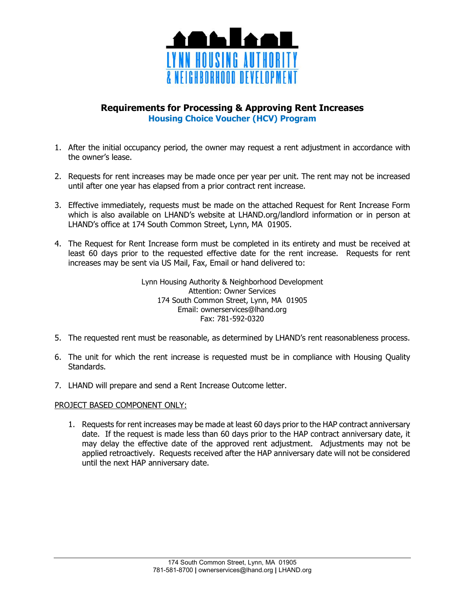

# **Requirements for Processing & Approving Rent Increases Housing Choice Voucher (HCV) Program**

- 1. After the initial occupancy period, the owner may request a rent adjustment in accordance with the owner's lease.
- 2. Requests for rent increases may be made once per year per unit. The rent may not be increased until after one year has elapsed from a prior contract rent increase.
- 3. Effective immediately, requests must be made on the attached Request for Rent Increase Form which is also available on LHAND's website at LHAND.org/landlord information or in person at LHAND's office at 174 South Common Street, Lynn, MA 01905.
- 4. The Request for Rent Increase form must be completed in its entirety and must be received at least 60 days prior to the requested effective date for the rent increase. Requests for rent increases may be sent via US Mail, Fax, Email or hand delivered to:

Lynn Housing Authority & Neighborhood Development Attention: Owner Services 174 South Common Street, Lynn, MA 01905 Email: ownerservices@lhand.org Fax: 781-592-0320

- 5. The requested rent must be reasonable, as determined by LHAND's rent reasonableness process.
- 6. The unit for which the rent increase is requested must be in compliance with Housing Quality Standards.
- 7. LHAND will prepare and send a Rent Increase Outcome letter.

## PROJECT BASED COMPONENT ONLY:

1. Requests for rent increases may be made at least 60 days prior to the HAP contract anniversary date. If the request is made less than 60 days prior to the HAP contract anniversary date, it may delay the effective date of the approved rent adjustment. Adjustments may not be applied retroactively. Requests received after the HAP anniversary date will not be considered until the next HAP anniversary date.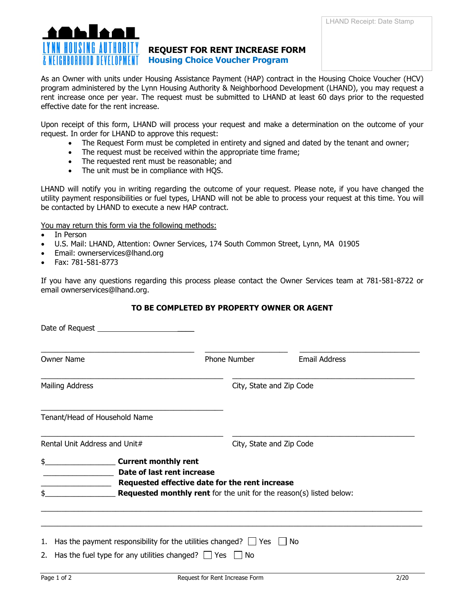

# **REQUEST FOR RENT INCREASE FORM Housing Choice Voucher Program**

As an Owner with units under Housing Assistance Payment (HAP) contract in the Housing Choice Voucher (HCV) program administered by the Lynn Housing Authority & Neighborhood Development (LHAND), you may request a rent increase once per year. The request must be submitted to LHAND at least 60 days prior to the requested effective date for the rent increase.

Upon receipt of this form, LHAND will process your request and make a determination on the outcome of your request. In order for LHAND to approve this request:

- The Request Form must be completed in entirety and signed and dated by the tenant and owner;
- The request must be received within the appropriate time frame;
- The requested rent must be reasonable; and
- The unit must be in compliance with HQS.

LHAND will notify you in writing regarding the outcome of your request. Please note, if you have changed the utility payment responsibilities or fuel types, LHAND will not be able to process your request at this time. You will be contacted by LHAND to execute a new HAP contract.

You may return this form via the following methods:

- In Person
- U.S. Mail: LHAND, Attention: Owner Services, 174 South Common Street, Lynn, MA 01905
- Email: ownerservices@lhand.org
- Fax: 781-581-8773

If you have any questions regarding this process please contact the Owner Services team at 781-581-8722 or email ownerservices@lhand.org.

## **TO BE COMPLETED BY PROPERTY OWNER OR AGENT**

| <b>Owner Name</b>                                                                                                                                         | Phone Number                                                                                                                 | <b>Email Address</b>     |  |  |
|-----------------------------------------------------------------------------------------------------------------------------------------------------------|------------------------------------------------------------------------------------------------------------------------------|--------------------------|--|--|
| <b>Mailing Address</b>                                                                                                                                    |                                                                                                                              | City, State and Zip Code |  |  |
| Tenant/Head of Household Name                                                                                                                             |                                                                                                                              |                          |  |  |
| Rental Unit Address and Unit#                                                                                                                             |                                                                                                                              | City, State and Zip Code |  |  |
| \$.<br>Current monthly rent<br>Date of last rent increase<br>\$.                                                                                          | Requested effective date for the rent increase<br><b>Requested monthly rent</b> for the unit for the reason(s) listed below: |                          |  |  |
| 1. Has the payment responsibility for the utilities changed? $\Box$ Yes $\Box$ No<br>2. Has the fuel type for any utilities changed? $\Box$ Yes $\Box$ No |                                                                                                                              |                          |  |  |